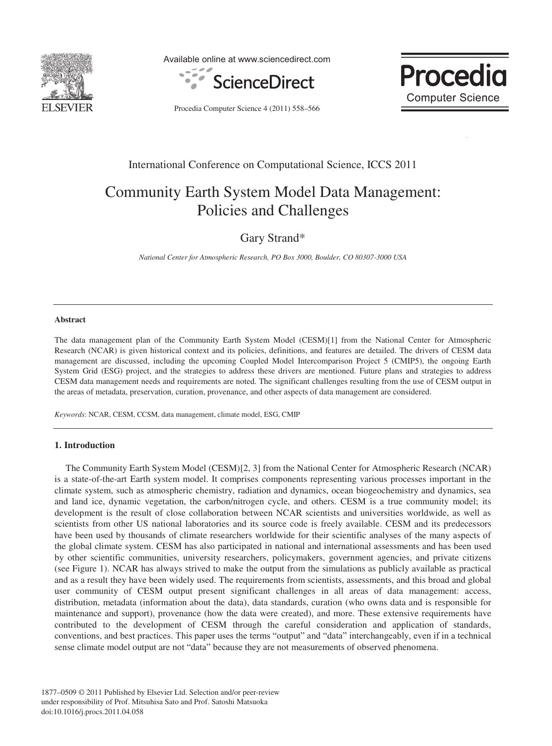

Available online at www.sciencedirect.com



**Procedia Computer Science** 

p

Procedia Computer Science 4 (2011) 558–566

### International Conference on Computational Science, ICCS 2011

## Community Earth System Model Data Management: Policies and Challenges

Gary Strand\*

*National Center for Atmospheric Research, PO Box 3000, Boulder, CO 80307-3000 USA* 

#### **Abstract**

The data management plan of the Community Earth System Model (CESM)[1] from the National Center for Atmospheric Research (NCAR) is given historical context and its policies, definitions, and features are detailed. The drivers of CESM data management are discussed, including the upcoming Coupled Model Intercomparison Project 5 (CMIP5), the ongoing Earth System Grid (ESG) project, and the strategies to address these drivers are mentioned. Future plans and strategies to address CESM data management needs and requirements are noted. The significant challenges resulting from the use of CESM output in the areas of metadata, preservation, curation, provenance, and other aspects of data management are considered.

*Keywords*: NCAR, CESM, CCSM, data management, climate model, ESG, CMIP

#### **1. Introduction**

The Community Earth System Model (CESM)[2, 3] from the National Center for Atmospheric Research (NCAR) is a state-of-the-art Earth system model. It comprises components representing various processes important in the climate system, such as atmospheric chemistry, radiation and dynamics, ocean biogeochemistry and dynamics, sea and land ice, dynamic vegetation, the carbon/nitrogen cycle, and others. CESM is a true community model; its development is the result of close collaboration between NCAR scientists and universities worldwide, as well as scientists from other US national laboratories and its source code is freely available. CESM and its predecessors have been used by thousands of climate researchers worldwide for their scientific analyses of the many aspects of the global climate system. CESM has also participated in national and international assessments and has been used by other scientific communities, university researchers, policymakers, government agencies, and private citizens (see Figure 1). NCAR has always strived to make the output from the simulations as publicly available as practical and as a result they have been widely used. The requirements from scientists, assessments, and this broad and global user community of CESM output present significant challenges in all areas of data management: access, distribution, metadata (information about the data), data standards, curation (who owns data and is responsible for maintenance and support), provenance (how the data were created), and more. These extensive requirements have contributed to the development of CESM through the careful consideration and application of standards, conventions, and best practices. This paper uses the terms "output" and "data" interchangeably, even if in a technical sense climate model output are not "data" because they are not measurements of observed phenomena.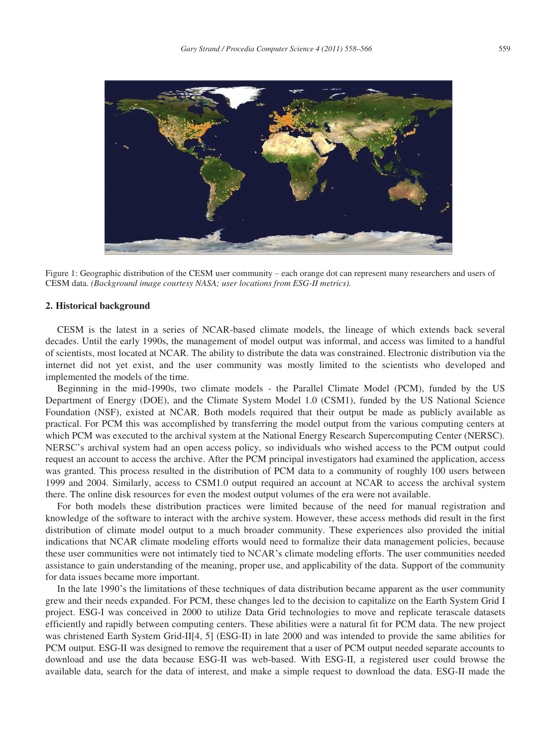

Figure 1: Geographic distribution of the CESM user community – each orange dot can represent many researchers and users of CESM data. *(Background image courtesy NASA; user locations from ESG-II metrics).*

#### **2. Historical background**

CESM is the latest in a series of NCAR-based climate models, the lineage of which extends back several decades. Until the early 1990s, the management of model output was informal, and access was limited to a handful of scientists, most located at NCAR. The ability to distribute the data was constrained. Electronic distribution via the internet did not yet exist, and the user community was mostly limited to the scientists who developed and implemented the models of the time.

Beginning in the mid-1990s, two climate models - the Parallel Climate Model (PCM), funded by the US Department of Energy (DOE), and the Climate System Model 1.0 (CSM1), funded by the US National Science Foundation (NSF), existed at NCAR. Both models required that their output be made as publicly available as practical. For PCM this was accomplished by transferring the model output from the various computing centers at which PCM was executed to the archival system at the National Energy Research Supercomputing Center (NERSC). NERSC's archival system had an open access policy, so individuals who wished access to the PCM output could request an account to access the archive. After the PCM principal investigators had examined the application, access was granted. This process resulted in the distribution of PCM data to a community of roughly 100 users between 1999 and 2004. Similarly, access to CSM1.0 output required an account at NCAR to access the archival system there. The online disk resources for even the modest output volumes of the era were not available.

For both models these distribution practices were limited because of the need for manual registration and knowledge of the software to interact with the archive system. However, these access methods did result in the first distribution of climate model output to a much broader community. These experiences also provided the initial indications that NCAR climate modeling efforts would need to formalize their data management policies, because these user communities were not intimately tied to NCAR's climate modeling efforts. The user communities needed assistance to gain understanding of the meaning, proper use, and applicability of the data. Support of the community for data issues became more important.

In the late 1990's the limitations of these techniques of data distribution became apparent as the user community grew and their needs expanded. For PCM, these changes led to the decision to capitalize on the Earth System Grid I project. ESG-I was conceived in 2000 to utilize Data Grid technologies to move and replicate terascale datasets efficiently and rapidly between computing centers. These abilities were a natural fit for PCM data. The new project was christened Earth System Grid-II[4, 5] (ESG-II) in late 2000 and was intended to provide the same abilities for PCM output. ESG-II was designed to remove the requirement that a user of PCM output needed separate accounts to download and use the data because ESG-II was web-based. With ESG-II, a registered user could browse the available data, search for the data of interest, and make a simple request to download the data. ESG-II made the